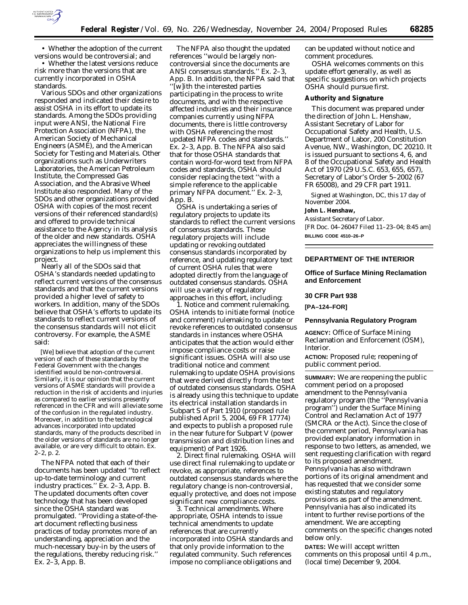

• Whether the adoption of the current versions would be controversial; and

• Whether the latest versions reduce risk more than the versions that are currently incorporated in OSHA standards.

Various SDOs and other organizations responded and indicated their desire to assist OSHA in its effort to update its standards. Among the SDOs providing input were ANSI, the National Fire Protection Association (NFPA), the American Society of Mechanical Engineers (ASME), and the American Society for Testing and Materials. Other organizations such as Underwriters Laboratories, the American Petroleum Institute, the Compressed Gas Association, and the Abrasive Wheel Institute also responded. Many of the SDOs and other organizations provided OSHA with copies of the most recent versions of their referenced standard(s) and offered to provide technical assistance to the Agency in its analysis of the older and new standards. OSHA appreciates the willingness of these organizations to help us implement this project.

Nearly all of the SDOs said that OSHA's standards needed updating to reflect current versions of the consensus standards and that the current versions provided a higher level of safety to workers. In addition, many of the SDOs believe that OSHA's efforts to update its standards to reflect current versions of the consensus standards will not elicit controversy. For example, the ASME said:

[We] believe that adoption of the current version of each of these standards by the Federal Government with the changes identified would be non-controversial. Similarly, it is our opinion that the current versions of ASME standards will provide a reduction in the risk of accidents and injuries as compared to earlier versions presently referenced in the CFR and will alleviate some of the confusion in the regulated industry. Moreover, in addition to the technological advances incorporated into updated standards, many of the products described in the older versions of standards are no longer available, or are very difficult to obtain. Ex. 2–2, p. 2.

The NFPA noted that each of their documents has been updated ''to reflect up-to-date terminology and current industry practices.'' Ex. 2–3, App. B. The updated documents often cover technology that has been developed since the OSHA standard was promulgated. ''Providing a state-of-theart document reflecting business practices of today promotes more of an understanding, appreciation and the much-necessary buy-in by the users of the regulations, thereby reducing risk.'' Ex. 2–3, App. B.

The NFPA also thought the updated references ''would be largely noncontroversial since the documents are ANSI consensus standards.'' Ex. 2–3, App. B. In addition, the NFPA said that ''[w]ith the interested parties participating in the process to write documents, and with the respective affected industries and their insurance companies currently using NFPA documents, there is little controversy with OSHA referencing the most updated NFPA codes and standards.'' Ex. 2–3, App. B. The NFPA also said that for those OSHA standards that contain word-for-word text from NFPA codes and standards, OSHA should consider replacing the text ''with a simple reference to the applicable primary NFPA document.'' Ex. 2–3, App. B.

OSHA is undertaking a series of regulatory projects to update its standards to reflect the current versions of consensus standards. These regulatory projects will include updating or revoking outdated consensus standards incorporated by reference, and updating regulatory text of current OSHA rules that were adopted directly from the language of outdated consensus standards. OSHA will use a variety of regulatory approaches in this effort, including:

1. *Notice and comment rulemaking.* OSHA intends to initiate formal (notice and comment) rulemaking to update or revoke references to outdated consensus standards in instances where OSHA anticipates that the action would either impose compliance costs or raise significant issues. OSHA will also use traditional notice and comment rulemaking to update OSHA provisions that were derived directly from the text of outdated consensus standards. OSHA is already using this technique to update its electrical installation standards in Subpart S of Part 1910 (proposed rule published April 5, 2004, 69 FR 17774) and expects to publish a proposed rule in the near future for Subpart V (power transmission and distribution lines and equipment) of Part 1926.

2. *Direct final rulemaking.* OSHA will use direct final rulemaking to update or revoke, as appropriate, references to outdated consensus standards where the regulatory change is non-controversial, equally protective, and does not impose significant new compliance costs.

3. *Technical amendments.* Where appropriate, OSHA intends to issue technical amendments to update references that are currently incorporated into OSHA standards and that only provide information to the regulated community. Such references impose no compliance obligations and

can be updated without notice and comment procedures.

OSHA welcomes comments on this update effort generally, as well as specific suggestions on which projects OSHA should pursue first.

#### **Authority and Signature**

This document was prepared under the direction of John L. Henshaw, Assistant Secretary of Labor for Occupational Safety and Health, U.S. Department of Labor, 200 Constitution Avenue, NW., Washington, DC 20210. It is issued pursuant to sections 4, 6, and 8 of the Occupational Safety and Health Act of 1970 (29 U.S.C. 653, 655, 657), Secretary of Labor's Order 5–2002 (67 FR 65008), and 29 CFR part 1911.

Signed at Washington, DC, this 17 day of November 2004.

# **John L. Henshaw,**

*Assistant Secretary of Labor.* [FR Doc. 04–26047 Filed 11–23–04; 8:45 am] **BILLING CODE 4510–26–P**

# **DEPARTMENT OF THE INTERIOR**

# **Office of Surface Mining Reclamation and Enforcement**

#### **30 CFR Part 938**

**[PA–124–FOR]** 

#### **Pennsylvania Regulatory Program**

**AGENCY:** Office of Surface Mining Reclamation and Enforcement (OSM), Interior.

**ACTION:** Proposed rule; reopening of public comment period.

**SUMMARY:** We are reopening the public comment period on a proposed amendment to the Pennsylvania regulatory program (the ''Pennsylvania program'') under the Surface Mining Control and Reclamation Act of 1977 (SMCRA or the Act). Since the close of the comment period, Pennsylvania has provided explanatory information in response to two letters, as amended, we sent requesting clarification with regard to its proposed amendment. Pennsylvania has also withdrawn portions of its original amendment and has requested that we consider some existing statutes and regulatory provisions as part of the amendment. Pennsylvania has also indicated its intent to further revise portions of the amendment. We are accepting comments on the specific changes noted below only.

**DATES:** We will accept written comments on this proposal until 4 p.m., (local time) December 9, 2004.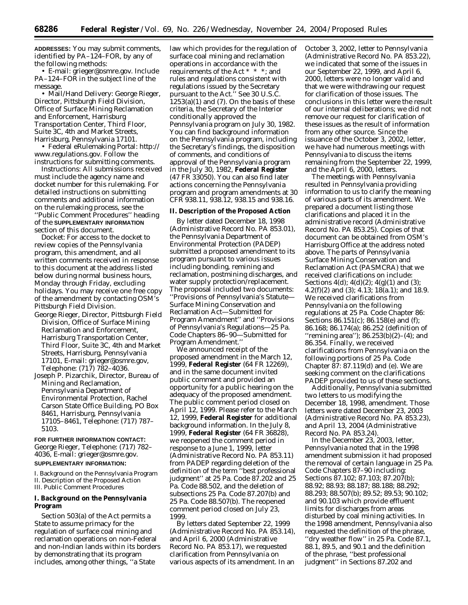**ADDRESSES:** You may submit comments, identified by PA–124–FOR, by any of the following methods:

• E-mail: *grieger@osmre.gov.* Include PA–124–FOR in the subject line of the message.

• Mail/Hand Delivery: George Rieger, Director, Pittsburgh Field Division, Office of Surface Mining Reclamation and Enforcement, Harrisburg Transportation Center, Third Floor, Suite 3C, 4th and Market Streets, Harrisburg, Pennsylvania 17101.

• Federal eRulemaking Portal: *http:// www.regulations.gov.* Follow the instructions for submitting comments.

*Instructions:* All submissions received must include the agency name and docket number for this rulemaking. For detailed instructions on submitting comments and additional information on the rulemaking process, see the ''Public Comment Procedures'' heading of the **SUPPLEMENTARY INFORMATION** section of this document.

*Docket:* For access to the docket to review copies of the Pennsylvania program, this amendment, and all written comments received in response to this document at the address listed below during normal business hours, Monday through Friday, excluding holidays. You may receive one free copy of the amendment by contacting OSM's Pittsburgh Field Division.

- George Rieger, Director, Pittsburgh Field Division, Office of Surface Mining Reclamation and Enforcement, Harrisburg Transportation Center, Third Floor, Suite 3C, 4th and Market Streets, Harrisburg, Pennsylvania 17101, E-mail: *grieger@osmre.gov,* Telephone: (717) 782–4036.
- Joseph P. Pizarchik, Director, Bureau of Mining and Reclamation, Pennsylvania Department of Environmental Protection, Rachel Carson State Office Building, PO Box 8461, Harrisburg, Pennsylvania 17105–8461, Telephone: (717) 787– 5103.

**FOR FURTHER INFORMATION CONTACT:** George Rieger, Telephone: (717) 782– 4036, E-mail: *grieger@osmre.gov.* **SUPPLEMENTARY INFORMATION:**

I. Background on the Pennsylvania Program II. Description of the Proposed Action III. Public Comment Procedures

# **I. Background on the Pennsylvania Program**

Section 503(a) of the Act permits a State to assume primacy for the regulation of surface coal mining and reclamation operations on non-Federal and non-Indian lands within its borders by demonstrating that its program includes, among other things, ''a State

law which provides for the regulation of surface coal mining and reclamation operations in accordance with the requirements of the Act \* \* \*; and rules and regulations consistent with regulations issued by the Secretary pursuant to the Act." See 30 U.S.C.  $1253(a)(1)$  and (7). On the basis of these criteria, the Secretary of the Interior conditionally approved the Pennsylvania program on July 30, 1982. You can find background information on the Pennsylvania program, including the Secretary's findings, the disposition of comments, and conditions of approval of the Pennsylvania program in the July 30, 1982, **Federal Register** (47 FR 33050). You can also find later actions concerning the Pennsylvania program and program amendments at 30 CFR 938.11, 938.12, 938.15 and 938.16.

#### **II. Description of the Proposed Action**

By letter dated December 18, 1998 (Administrative Record No. PA 853.01), the Pennsylvania Department of Environmental Protection (PADEP) submitted a proposed amendment to its program pursuant to various issues including bonding, remining and reclamation, postmining discharges, and water supply protection/replacement. The proposal included two documents: ''Provisions of Pennsylvania's Statute— Surface Mining Conservation and Reclamation Act—Submitted for Program Amendment'' and ''Provisions of Pennsylvania's Regulations—25 Pa. Code Chapters 86–90—Submitted for Program Amendment.

We announced receipt of the proposed amendment in the March 12, 1999, **Federal Register** (64 FR 12269), and in the same document invited public comment and provided an opportunity for a public hearing on the adequacy of the proposed amendment. The public comment period closed on April 12, 1999. Please refer to the March 12, 1999, **Federal Register** for additional background information. In the July 8, 1999, **Federal Register** (64 FR 36828), we reopened the comment period in response to a June 1, 1999, letter (Administrative Record No. PA 853.11) from PADEP regarding deletion of the definition of the term ''best professional judgment'' at 25 Pa. Code 87.202 and 25 Pa. Code 88.502, and the deletion of subsections 25 Pa. Code 87.207(b) and 25 Pa. Code 88.507(b). The reopened comment period closed on July 23, 1999.

By letters dated September 22, 1999 (Administrative Record No. PA 853.14), and April 6, 2000 (Administrative Record No. PA 853.17), we requested clarification from Pennsylvania on various aspects of its amendment. In an

October 3, 2002, letter to Pennsylvania (Administrative Record No. PA 853.22), we indicated that some of the issues in our September 22, 1999, and April 6, 2000, letters were no longer valid and that we were withdrawing our request for clarification of those issues. The conclusions in this letter were the result of our internal deliberations; we did not remove our request for clarification of these issues as the result of information from any other source. Since the issuance of the October 3, 2002, letter, we have had numerous meetings with Pennsylvania to discuss the items remaining from the September 22, 1999, and the April 6, 2000, letters.

The meetings with Pennsylvania resulted in Pennsylvania providing information to us to clarify the meaning of various parts of its amendment. We prepared a document listing those clarifications and placed it in the administrative record (Administrative Record No. PA 853.25). Copies of that document can be obtained from OSM's Harrisburg Office at the address noted above. The parts of Pennsylvania Surface Mining Conservation and Reclamation Act (PASMCRA) that we received clarifications on include: Sections  $4(d)$ ;  $4(d)(2)$ ;  $4(g)(1)$  and (3); 4.2(f)(2) and (3); 4.13;  $18(a.1)$ ; and 18.9. We received clarifications from Pennsylvania on the following regulations at 25 Pa. Code Chapter 86: Sections 86.151(c); 86.158(e) and (f); 86.168; 86.174(a); 86.252 (definition of ''remining area''); 86.253(b)(2)–(4); and 86.354. Finally, we received clarifications from Pennsylvania on the following portions of 25 Pa. Code Chapter 87: 87.119(d) and (e). We are seeking comment on the clarifications PADEP provided to us of these sections.

Additionally, Pennsylvania submitted two letters to us modifying the December 18, 1998, amendment. Those letters were dated December 23, 2003 (Administrative Record No. PA 853.23), and April 13, 2004 (Administrative Record No. PA 853.24).

In the December 23, 2003, letter, Pennsylvania noted that in the 1998 amendment submission it had proposed the removal of certain language in 25 Pa. Code Chapters 87–90 including: Sections 87.102; 87.103; 87.207(b); 88.92; 88.93; 88.187; 88.188; 88.292; 88.293; 88.507(b); 89.52; 89.53; 90.102; and 90.103 which provide effluent limits for discharges from areas disturbed by coal mining activities. In the 1998 amendment, Pennsylvania also requested the definition of the phrase, ''dry weather flow'' in 25 Pa. Code 87.1, 88.1, 89.5, and 90.1 and the definition of the phrase, ''best professional judgment'' in Sections 87.202 and